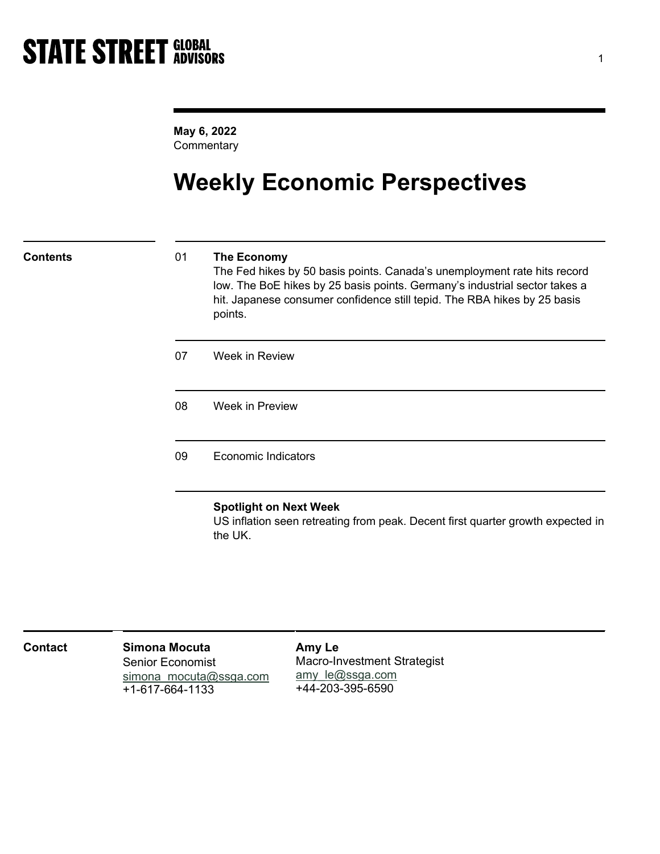May 6, 2022 **Commentary** 

# Weekly Economic Perspectives

## Contents 01 The Economy

The Fed hikes by 50 basis points. Canada's unemployment rate hits record low. The BoE hikes by 25 basis points. Germany's industrial sector takes a hit. Japanese consumer confidence still tepid. The RBA hikes by 25 basis points.

07 Week in Review

08 Week in Preview

09 Economic Indicators

## Spotlight on Next Week

US inflation seen retreating from peak. Decent first quarter growth expected in the UK.

| <b>Contact</b> | Simona Mocuta<br><b>Senior Economist</b><br>simona mocuta@ssga.com<br>+1-617-664-1133 | Amy Le<br>Macro-Investment Strategist<br>amy le@ssga.com<br>+44-203-395-6590 |  |
|----------------|---------------------------------------------------------------------------------------|------------------------------------------------------------------------------|--|
|----------------|---------------------------------------------------------------------------------------|------------------------------------------------------------------------------|--|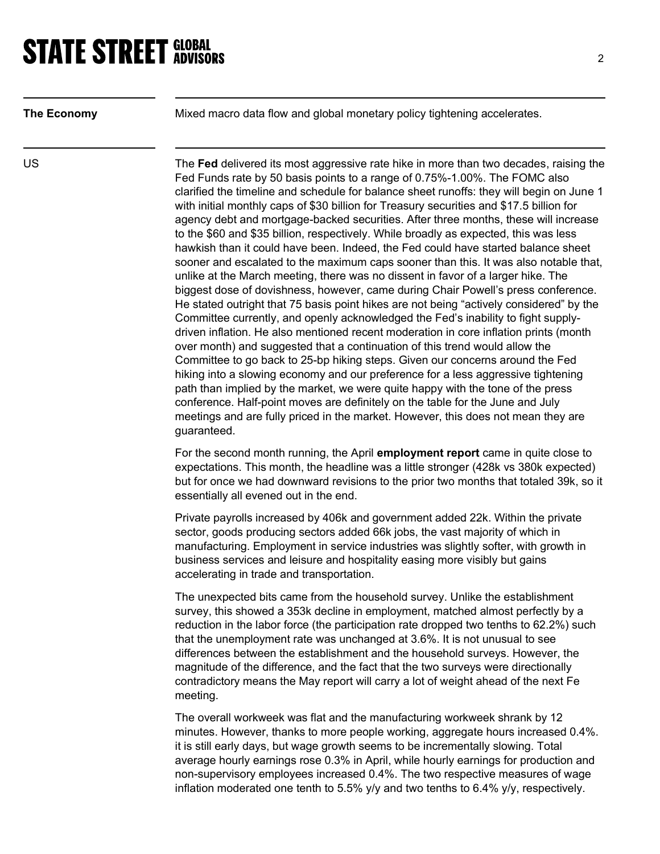**The Economy** Mixed macro data flow and global monetary policy tightening accelerates.

US The Fed delivered its most aggressive rate hike in more than two decades, raising the Fed Funds rate by 50 basis points to a range of 0.75%-1.00%. The FOMC also clarified the timeline and schedule for balance sheet runoffs: they will begin on June 1 with initial monthly caps of \$30 billion for Treasury securities and \$17.5 billion for agency debt and mortgage-backed securities. After three months, these will increase to the \$60 and \$35 billion, respectively. While broadly as expected, this was less hawkish than it could have been. Indeed, the Fed could have started balance sheet sooner and escalated to the maximum caps sooner than this. It was also notable that, unlike at the March meeting, there was no dissent in favor of a larger hike. The biggest dose of dovishness, however, came during Chair Powell's press conference. He stated outright that 75 basis point hikes are not being "actively considered" by the Committee currently, and openly acknowledged the Fed's inability to fight supplydriven inflation. He also mentioned recent moderation in core inflation prints (month over month) and suggested that a continuation of this trend would allow the Committee to go back to 25-bp hiking steps. Given our concerns around the Fed hiking into a slowing economy and our preference for a less aggressive tightening path than implied by the market, we were quite happy with the tone of the press conference. Half-point moves are definitely on the table for the June and July meetings and are fully priced in the market. However, this does not mean they are guaranteed.

> For the second month running, the April employment report came in quite close to expectations. This month, the headline was a little stronger (428k vs 380k expected) but for once we had downward revisions to the prior two months that totaled 39k, so it essentially all evened out in the end.

Private payrolls increased by 406k and government added 22k. Within the private sector, goods producing sectors added 66k jobs, the vast majority of which in manufacturing. Employment in service industries was slightly softer, with growth in business services and leisure and hospitality easing more visibly but gains accelerating in trade and transportation.

The unexpected bits came from the household survey. Unlike the establishment survey, this showed a 353k decline in employment, matched almost perfectly by a reduction in the labor force (the participation rate dropped two tenths to 62.2%) such that the unemployment rate was unchanged at 3.6%. It is not unusual to see differences between the establishment and the household surveys. However, the magnitude of the difference, and the fact that the two surveys were directionally contradictory means the May report will carry a lot of weight ahead of the next Fe meeting.

The overall workweek was flat and the manufacturing workweek shrank by 12 minutes. However, thanks to more people working, aggregate hours increased 0.4%. it is still early days, but wage growth seems to be incrementally slowing. Total average hourly earnings rose 0.3% in April, while hourly earnings for production and non-supervisory employees increased 0.4%. The two respective measures of wage inflation moderated one tenth to 5.5% y/y and two tenths to 6.4% y/y, respectively.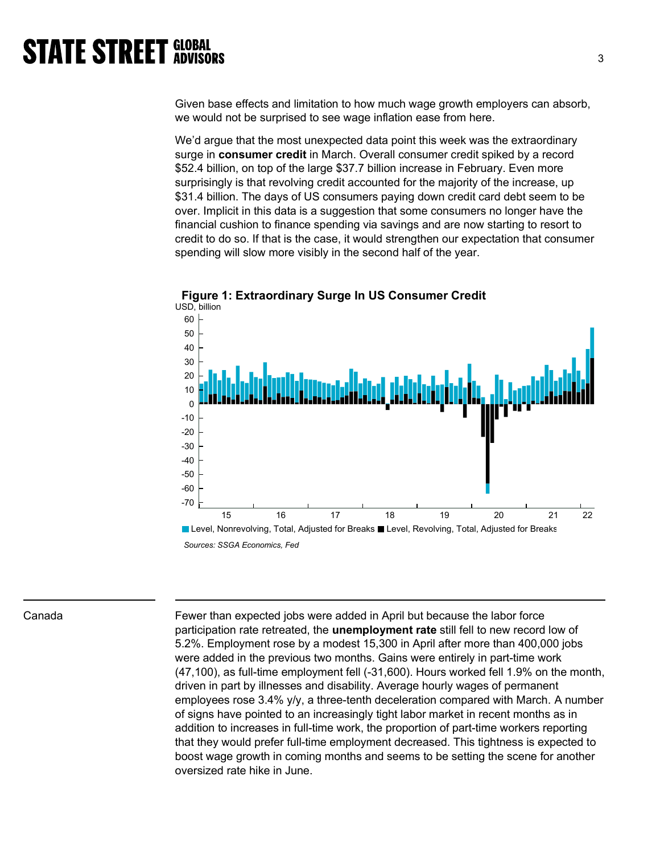Given base effects and limitation to how much wage growth employers can absorb, we would not be surprised to see wage inflation ease from here.

We'd argue that the most unexpected data point this week was the extraordinary surge in consumer credit in March. Overall consumer credit spiked by a record \$52.4 billion, on top of the large \$37.7 billion increase in February. Even more surprisingly is that revolving credit accounted for the majority of the increase, up \$31.4 billion. The days of US consumers paying down credit card debt seem to be over. Implicit in this data is a suggestion that some consumers no longer have the financial cushion to finance spending via savings and are now starting to resort to credit to do so. If that is the case, it would strengthen our expectation that consumer spending will slow more visibly in the second half of the year.





Canada Fewer than expected jobs were added in April but because the labor force participation rate retreated, the **unemployment rate** still fell to new record low of 5.2%. Employment rose by a modest 15,300 in April after more than 400,000 jobs were added in the previous two months. Gains were entirely in part-time work (47,100), as full-time employment fell (-31,600). Hours worked fell 1.9% on the month, driven in part by illnesses and disability. Average hourly wages of permanent employees rose 3.4% y/y, a three-tenth deceleration compared with March. A number of signs have pointed to an increasingly tight labor market in recent months as in addition to increases in full-time work, the proportion of part-time workers reporting that they would prefer full-time employment decreased. This tightness is expected to boost wage growth in coming months and seems to be setting the scene for another oversized rate hike in June.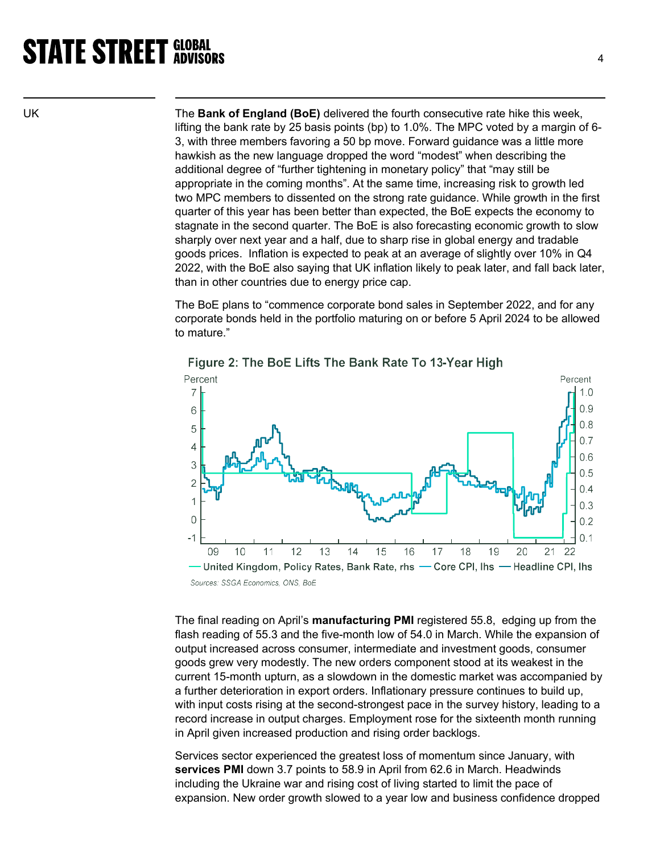UK The Bank of England (BoE) delivered the fourth consecutive rate hike this week, lifting the bank rate by 25 basis points (bp) to 1.0%. The MPC voted by a margin of 6- 3, with three members favoring a 50 bp move. Forward guidance was a little more hawkish as the new language dropped the word "modest" when describing the additional degree of "further tightening in monetary policy" that "may still be appropriate in the coming months". At the same time, increasing risk to growth led two MPC members to dissented on the strong rate guidance. While growth in the first quarter of this year has been better than expected, the BoE expects the economy to stagnate in the second quarter. The BoE is also forecasting economic growth to slow sharply over next year and a half, due to sharp rise in global energy and tradable goods prices. Inflation is expected to peak at an average of slightly over 10% in Q4 2022, with the BoE also saying that UK inflation likely to peak later, and fall back later, than in other countries due to energy price cap.

> The BoE plans to "commence corporate bond sales in September 2022, and for any corporate bonds held in the portfolio maturing on or before 5 April 2024 to be allowed to mature."



Figure 2: The BoE Lifts The Bank Rate To 13-Year High

The final reading on April's **manufacturing PMI** registered 55.8, edging up from the flash reading of 55.3 and the five-month low of 54.0 in March. While the expansion of output increased across consumer, intermediate and investment goods, consumer goods grew very modestly. The new orders component stood at its weakest in the current 15-month upturn, as a slowdown in the domestic market was accompanied by a further deterioration in export orders. Inflationary pressure continues to build up, with input costs rising at the second-strongest pace in the survey history, leading to a record increase in output charges. Employment rose for the sixteenth month running in April given increased production and rising order backlogs.

Services sector experienced the greatest loss of momentum since January, with services PMI down 3.7 points to 58.9 in April from 62.6 in March. Headwinds including the Ukraine war and rising cost of living started to limit the pace of expansion. New order growth slowed to a year low and business confidence dropped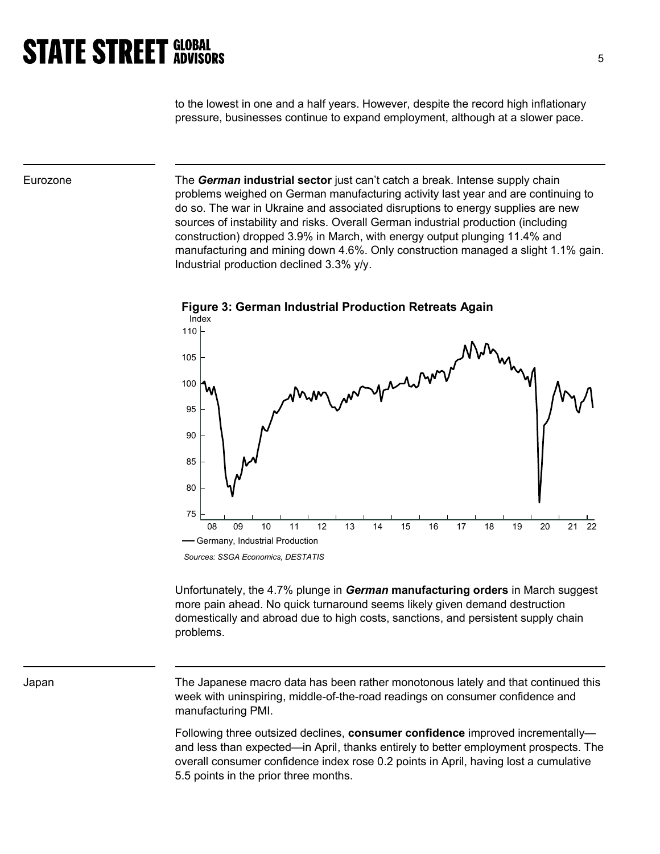to the lowest in one and a half years. However, despite the record high inflationary pressure, businesses continue to expand employment, although at a slower pace.

Eurozone The German industrial sector just can't catch a break. Intense supply chain problems weighed on German manufacturing activity last year and are continuing to do so. The war in Ukraine and associated disruptions to energy supplies are new sources of instability and risks. Overall German industrial production (including construction) dropped 3.9% in March, with energy output plunging 11.4% and manufacturing and mining down 4.6%. Only construction managed a slight 1.1% gain. Industrial production declined 3.3% y/y.



Figure 3: German Industrial Production Retreats Again

Unfortunately, the 4.7% plunge in German manufacturing orders in March suggest more pain ahead. No quick turnaround seems likely given demand destruction domestically and abroad due to high costs, sanctions, and persistent supply chain problems.

Japan The Japanese macro data has been rather monotonous lately and that continued this week with uninspiring, middle-of-the-road readings on consumer confidence and manufacturing PMI.

> Following three outsized declines, **consumer confidence** improved incrementally and less than expected—in April, thanks entirely to better employment prospects. The overall consumer confidence index rose 0.2 points in April, having lost a cumulative 5.5 points in the prior three months.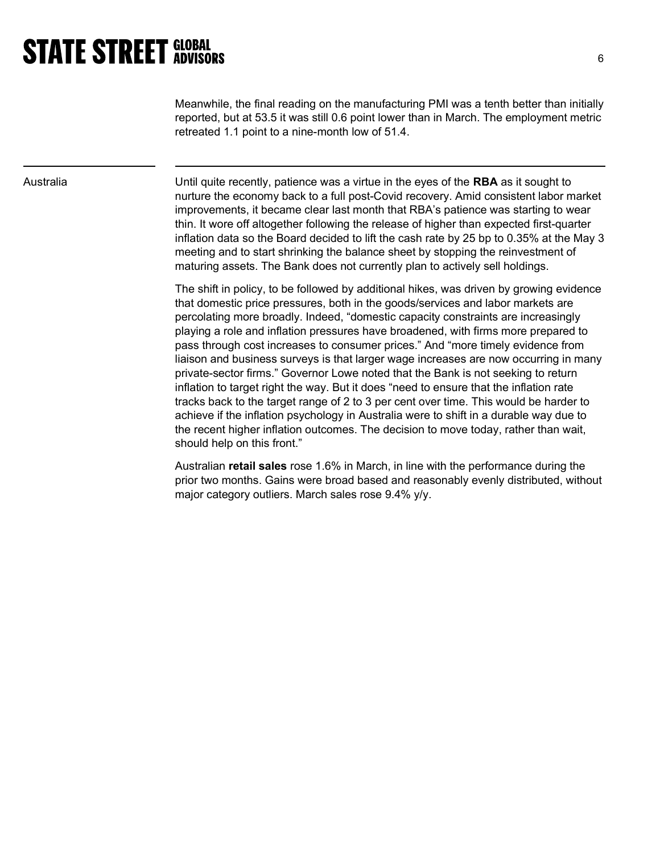Meanwhile, the final reading on the manufacturing PMI was a tenth better than initially reported, but at 53.5 it was still 0.6 point lower than in March. The employment metric retreated 1.1 point to a nine-month low of 51.4.

Australia **Example 3 To Contract Until quite recently, patience was a virtue in the eyes of the RBA** as it sought to nurture the economy back to a full post-Covid recovery. Amid consistent labor market improvements, it became clear last month that RBA's patience was starting to wear thin. It wore off altogether following the release of higher than expected first-quarter inflation data so the Board decided to lift the cash rate by 25 bp to 0.35% at the May 3 meeting and to start shrinking the balance sheet by stopping the reinvestment of maturing assets. The Bank does not currently plan to actively sell holdings.

> The shift in policy, to be followed by additional hikes, was driven by growing evidence that domestic price pressures, both in the goods/services and labor markets are percolating more broadly. Indeed, "domestic capacity constraints are increasingly playing a role and inflation pressures have broadened, with firms more prepared to pass through cost increases to consumer prices." And "more timely evidence from liaison and business surveys is that larger wage increases are now occurring in many private-sector firms." Governor Lowe noted that the Bank is not seeking to return inflation to target right the way. But it does "need to ensure that the inflation rate tracks back to the target range of 2 to 3 per cent over time. This would be harder to achieve if the inflation psychology in Australia were to shift in a durable way due to the recent higher inflation outcomes. The decision to move today, rather than wait, should help on this front."

> Australian retail sales rose 1.6% in March, in line with the performance during the prior two months. Gains were broad based and reasonably evenly distributed, without major category outliers. March sales rose 9.4% y/y.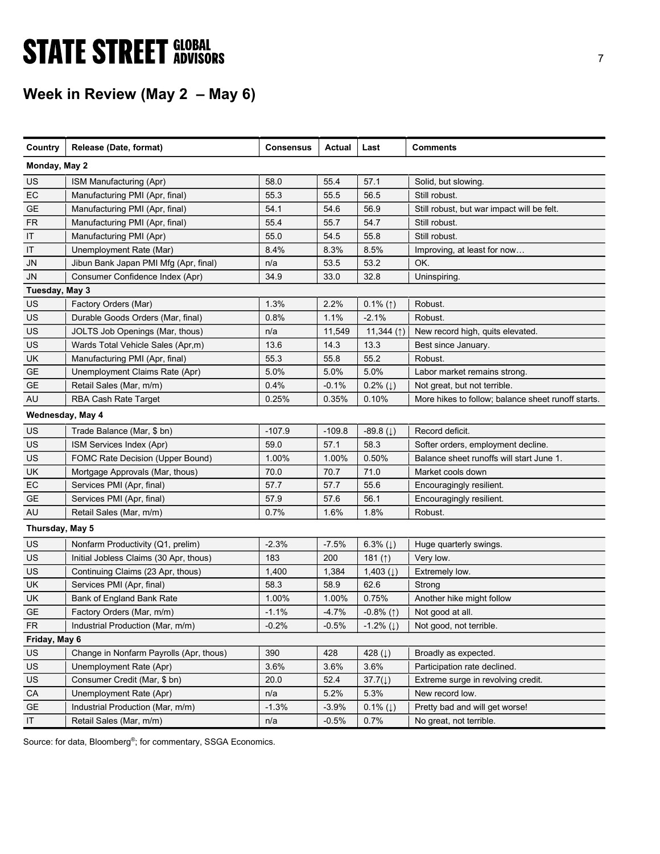# **STATE STREET GLOBAL STATE STREET GLOBAL**

## Week in Review (May 2 – May 6)

| Country         | Release (Date, format)                  | <b>Consensus</b> | Actual   | Last                     | <b>Comments</b>                                    |
|-----------------|-----------------------------------------|------------------|----------|--------------------------|----------------------------------------------------|
| Monday, May 2   |                                         |                  |          |                          |                                                    |
| US              | ISM Manufacturing (Apr)                 | 58.0             | 55.4     | 57.1                     | Solid, but slowing.                                |
| EC              | Manufacturing PMI (Apr, final)          | 55.3             | 55.5     | 56.5                     | Still robust.                                      |
| GE              | Manufacturing PMI (Apr, final)          | 54.1             | 54.6     | 56.9                     | Still robust, but war impact will be felt.         |
| <b>FR</b>       | Manufacturing PMI (Apr, final)          | 55.4             | 55.7     | 54.7                     | Still robust.                                      |
| IT              | Manufacturing PMI (Apr)                 | 55.0             | 54.5     | 55.8                     | Still robust.                                      |
| IT              | Unemployment Rate (Mar)                 | 8.4%             | 8.3%     | 8.5%                     | Improving, at least for now                        |
| <b>JN</b>       | Jibun Bank Japan PMI Mfg (Apr, final)   | n/a              | 53.5     | 53.2                     | OK.                                                |
| JN              | Consumer Confidence Index (Apr)         | 34.9             | 33.0     | 32.8                     | Uninspiring.                                       |
| Tuesday, May 3  |                                         |                  |          |                          |                                                    |
| US              | Factory Orders (Mar)                    | 1.3%             | 2.2%     | $0.1\%$ (1)              | Robust.                                            |
| US              | Durable Goods Orders (Mar, final)       | 0.8%             | 1.1%     | $-2.1%$                  | Robust.                                            |
| US              | JOLTS Job Openings (Mar, thous)         | n/a              | 11,549   | 11,344 $($ $\uparrow$ )  | New record high, quits elevated.                   |
| US              | Wards Total Vehicle Sales (Apr,m)       | 13.6             | 14.3     | 13.3                     | Best since January.                                |
| UK              | Manufacturing PMI (Apr, final)          | 55.3             | 55.8     | 55.2                     | Robust.                                            |
| GE              | Unemployment Claims Rate (Apr)          | 5.0%             | 5.0%     | 5.0%                     | Labor market remains strong.                       |
| GE              | Retail Sales (Mar, m/m)                 | 0.4%             | $-0.1%$  | $0.2\%$ ( $\downarrow$ ) | Not great, but not terrible.                       |
| AU              | RBA Cash Rate Target                    | 0.25%            | 0.35%    | 0.10%                    | More hikes to follow; balance sheet runoff starts. |
|                 | Wednesday, May 4                        |                  |          |                          |                                                    |
| US              | Trade Balance (Mar, \$ bn)              | $-107.9$         | $-109.8$ | $-89.8(1)$               | Record deficit.                                    |
| US              | ISM Services Index (Apr)                | 59.0             | 57.1     | 58.3                     | Softer orders, employment decline.                 |
| US              | FOMC Rate Decision (Upper Bound)        | 1.00%            | 1.00%    | 0.50%                    | Balance sheet runoffs will start June 1.           |
| UK              | Mortgage Approvals (Mar, thous)         | 70.0             | 70.7     | 71.0                     | Market cools down                                  |
| EC              | Services PMI (Apr, final)               | 57.7             | 57.7     | 55.6                     | Encouragingly resilient.                           |
| <b>GE</b>       | Services PMI (Apr, final)               | 57.9             | 57.6     | 56.1                     | Encouragingly resilient.                           |
| AU              | Retail Sales (Mar, m/m)                 | 0.7%             | 1.6%     | 1.8%                     | Robust.                                            |
| Thursday, May 5 |                                         |                  |          |                          |                                                    |
| US              | Nonfarm Productivity (Q1, prelim)       | $-2.3%$          | $-7.5%$  | 6.3% $(1)$               | Huge quarterly swings.                             |
| <b>US</b>       | Initial Jobless Claims (30 Apr, thous)  | 183              | 200      | 181 $($ $\uparrow$ )     | Very low.                                          |
| US              | Continuing Claims (23 Apr, thous)       | 1,400            | 1,384    | 1,403 $(1)$              | Extremely low.                                     |
| UK              | Services PMI (Apr, final)               | 58.3             | 58.9     | 62.6                     | Strong                                             |
| UK              | Bank of England Bank Rate               | 1.00%            | 1.00%    | 0.75%                    | Another hike might follow                          |
| GE              | Factory Orders (Mar, m/m)               | $-1.1%$          | $-4.7%$  | $-0.8\%$ (1)             | Not good at all.                                   |
| <b>FR</b>       | Industrial Production (Mar, m/m)        | $-0.2%$          | $-0.5%$  | $-1.2%$ ( $\downarrow$ ) | Not good, not terrible.                            |
| Friday, May 6   |                                         |                  |          |                          |                                                    |
| US              | Change in Nonfarm Payrolls (Apr, thous) | 390              | 428      | 428 ( $\downarrow$ )     | Broadly as expected.                               |
| US              | Unemployment Rate (Apr)                 | 3.6%             | 3.6%     | 3.6%                     | Participation rate declined.                       |
| US              | Consumer Credit (Mar, \$ bn)            | 20.0             | 52.4     | $37.7(\downarrow)$       | Extreme surge in revolving credit.                 |
| ${\sf CA}$      | Unemployment Rate (Apr)                 | n/a              | 5.2%     | 5.3%                     | New record low.                                    |
| <b>GE</b>       | Industrial Production (Mar, m/m)        | $-1.3%$          | $-3.9%$  | $0.1\%$ ( $\downarrow$ ) | Pretty bad and will get worse!                     |
| $\sf IT$        | Retail Sales (Mar, m/m)                 | n/a              | $-0.5%$  | 0.7%                     | No great, not terrible.                            |
|                 |                                         |                  |          |                          |                                                    |

Source: for data, Bloomberg®; for commentary, SSGA Economics.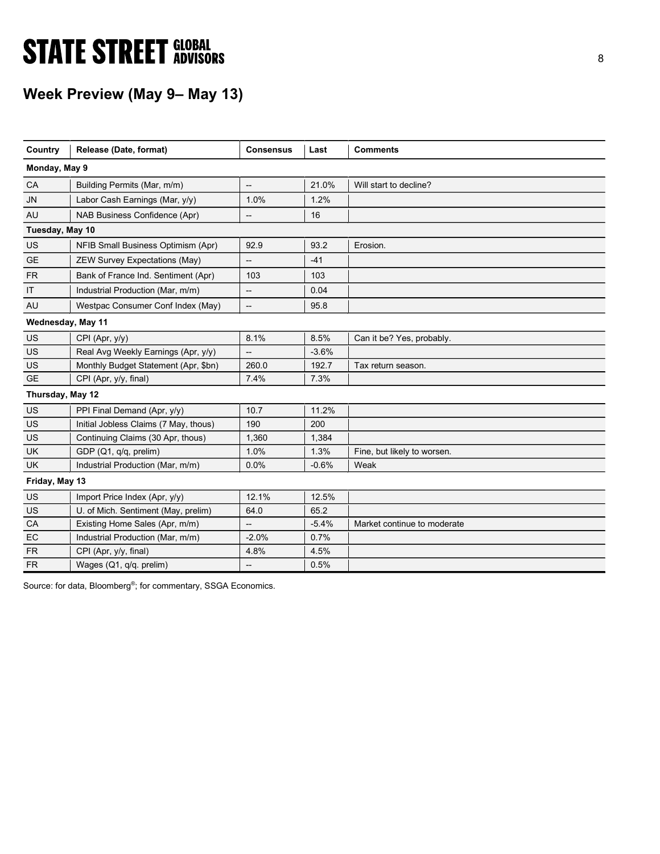# **STATE STREET GLOBAL STATE STREET GLOBAL**

## Week Preview (May 9– May 13)

| Country           | Release (Date, format)                | <b>Consensus</b>         | Last    | <b>Comments</b>             |
|-------------------|---------------------------------------|--------------------------|---------|-----------------------------|
| Monday, May 9     |                                       |                          |         |                             |
| CA                | Building Permits (Mar, m/m)           | $\overline{a}$           | 21.0%   | Will start to decline?      |
| <b>JN</b>         | Labor Cash Earnings (Mar, y/y)        | 1.0%                     | 1.2%    |                             |
| AU                | NAB Business Confidence (Apr)         | $\overline{\phantom{a}}$ | 16      |                             |
| Tuesday, May 10   |                                       |                          |         |                             |
| US                | NFIB Small Business Optimism (Apr)    | 92.9                     | 93.2    | Erosion.                    |
| <b>GE</b>         | <b>ZEW Survey Expectations (May)</b>  | --                       | $-41$   |                             |
| <b>FR</b>         | Bank of France Ind. Sentiment (Apr)   | 103                      | 103     |                             |
| IT                | Industrial Production (Mar, m/m)      | $\overline{\phantom{a}}$ | 0.04    |                             |
| AU                | Westpac Consumer Conf Index (May)     | --                       | 95.8    |                             |
| Wednesday, May 11 |                                       |                          |         |                             |
| <b>US</b>         | CPI (Apr, y/y)                        | 8.1%                     | 8.5%    | Can it be? Yes, probably.   |
| US                | Real Avg Weekly Earnings (Apr, y/y)   | --                       | $-3.6%$ |                             |
| US                | Monthly Budget Statement (Apr, \$bn)  | 260.0                    | 192.7   | Tax return season.          |
| <b>GE</b>         | CPI (Apr, y/y, final)                 | 7.4%                     | 7.3%    |                             |
| Thursday, May 12  |                                       |                          |         |                             |
| US                | PPI Final Demand (Apr, y/y)           | 10.7                     | 11.2%   |                             |
| <b>US</b>         | Initial Jobless Claims (7 May, thous) | 190                      | 200     |                             |
| <b>US</b>         | Continuing Claims (30 Apr, thous)     | 1,360                    | 1,384   |                             |
| <b>UK</b>         | GDP (Q1, q/q, prelim)                 | 1.0%                     | 1.3%    | Fine, but likely to worsen. |
| <b>UK</b>         | Industrial Production (Mar, m/m)      | 0.0%                     | $-0.6%$ | Weak                        |
| Friday, May 13    |                                       |                          |         |                             |
| US                | Import Price Index (Apr, y/y)         | 12.1%                    | 12.5%   |                             |
| US                | U. of Mich. Sentiment (May, prelim)   | 64.0                     | 65.2    |                             |
| CA                | Existing Home Sales (Apr, m/m)        | $\overline{\phantom{a}}$ | $-5.4%$ | Market continue to moderate |
| EC                | Industrial Production (Mar, m/m)      | $-2.0%$                  | 0.7%    |                             |
| <b>FR</b>         | CPI (Apr, y/y, final)                 | 4.8%                     | 4.5%    |                             |
| <b>FR</b>         | Wages (Q1, q/q. prelim)               | --                       | 0.5%    |                             |

Source: for data, Bloomberg®; for commentary, SSGA Economics.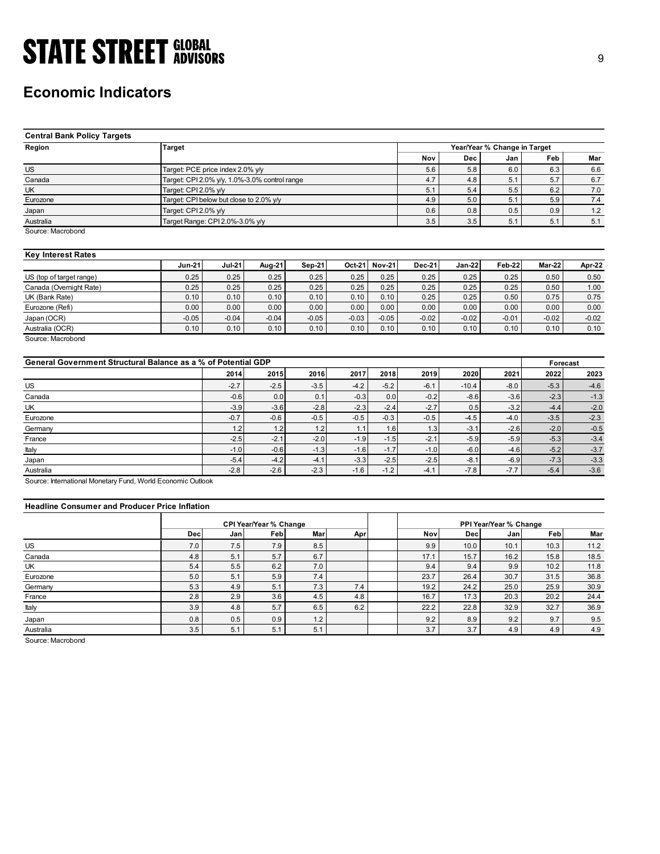## Economic Indicators

| <b>STATE STREET GLOBAL</b>                                    |                                               |               |         |               |               |         |               |         |                              |          |         |
|---------------------------------------------------------------|-----------------------------------------------|---------------|---------|---------------|---------------|---------|---------------|---------|------------------------------|----------|---------|
|                                                               |                                               |               |         |               |               |         |               |         |                              |          | 9       |
|                                                               |                                               |               |         |               |               |         |               |         |                              |          |         |
|                                                               |                                               |               |         |               |               |         |               |         |                              |          |         |
|                                                               |                                               |               |         |               |               |         |               |         |                              |          |         |
| <b>Economic Indicators</b>                                    |                                               |               |         |               |               |         |               |         |                              |          |         |
|                                                               |                                               |               |         |               |               |         |               |         |                              |          |         |
|                                                               |                                               |               |         |               |               |         |               |         |                              |          |         |
|                                                               |                                               |               |         |               |               |         |               |         |                              |          |         |
| <b>Central Bank Policy Targets</b>                            |                                               |               |         |               |               |         |               |         |                              |          |         |
| Region                                                        | <b>Target</b>                                 |               |         |               |               |         |               |         | Year/Year % Change in Target |          |         |
|                                                               |                                               |               |         |               |               |         | Nov           | Dec     | Jan                          | Feb      | Mar     |
| <b>US</b>                                                     | Target: PCE price index 2.0% y/y              |               |         |               |               |         | 5.6           | 5.8     | 6.0                          | 6.3      | 6.6     |
| Canada                                                        | Target: CPI 2.0% y/y, 1.0%-3.0% control range |               |         |               |               |         | 4.7           | 4.8     | 5.1                          | 5.7      | 6.7     |
| UK                                                            | Target: CPI 2.0% y/y                          |               |         |               |               |         | 5.1           | 5.4     | 5.5                          | 6.2      | 7.0     |
| Eurozone                                                      | Target: CPI below but close to 2.0% y/y       |               |         |               |               |         | 4.9           | 5.0     | 5.1                          | 5.9      | 7.4     |
| Japan                                                         | Target: CPI 2.0% y/y                          |               |         |               |               |         | 0.6           | 0.8     | 0.5                          | 0.9      | 1.2     |
| Australia                                                     | Target Range: CPI 2.0%-3.0% y/y               |               |         |               |               |         | 3.5           | 3.5     | 5.1                          | 5.1      | 5.1     |
| Source: Macrobond                                             |                                               |               |         |               |               |         |               |         |                              |          |         |
|                                                               |                                               |               |         |               |               |         |               |         |                              |          |         |
| <b>Key Interest Rates</b>                                     |                                               |               |         |               |               |         |               |         |                              |          |         |
|                                                               | <b>Jun-21</b>                                 | <b>Jul-21</b> | Aug-21  | <b>Sep-21</b> | Oct-21 Nov-21 |         | <b>Dec-21</b> | Jan-22  | <b>Feb-22</b>                | Mar-22   | Apr-22  |
| US (top of target range)                                      | 0.25                                          | 0.25          | 0.25    | 0.25          | 0.25          | 0.25    | 0.25          | 0.25    | 0.25                         | 0.50     | 0.50    |
| Canada (Overnight Rate)                                       | 0.25                                          | 0.25          | 0.25    | 0.25          | 0.25          | 0.25    | 0.25          | 0.25    | 0.25                         | 0.50     | 1.00    |
| UK (Bank Rate)                                                | 0.10                                          | 0.10          | 0.10    | 0.10          | 0.10          | 0.10    | 0.25          | 0.25    | 0.50                         | 0.75     | 0.75    |
| Eurozone (Refi)                                               | 0.00                                          | 0.00          | 0.00    | 0.00          | 0.00          | 0.00    | 0.00          | 0.00    | 0.00                         | 0.00     | 0.00    |
| Japan (OCR)                                                   | $-0.05$                                       | $-0.04$       | $-0.04$ | $-0.05$       | $-0.03$       | $-0.05$ | $-0.02$       | $-0.02$ | $-0.01$                      | $-0.02$  | $-0.02$ |
| Australia (OCR)                                               | 0.10                                          | 0.10          | 0.10    | 0.10          | 0.10          | 0.10    | 0.10          | 0.10    | 0.10                         | 0.10     | 0.10    |
| Source: Macrobond                                             |                                               |               |         |               |               |         |               |         |                              |          |         |
|                                                               |                                               |               |         |               |               |         |               |         |                              |          |         |
| General Government Structural Balance as a % of Potential GDP |                                               |               |         |               |               |         |               |         |                              | Forecast |         |
|                                                               |                                               | 2014          | 2015    | 2016          | 2017          | 2018    | 2019          | 2020    | 2021                         | 2022     | 2023    |
| $US$                                                          |                                               | $-2.7$        | $-2.5$  | $-3.5$        | $-4.2$        | $-5.2$  | $-6.1$        | $-10.4$ | $-8.0$                       | $-5.3$   | $-4.6$  |
| Canada                                                        |                                               | $-0.6$        | 0.0     | 0.1           | $-0.3$        | 0.0     | $-0.2$        | $-8.6$  | $-3.6$                       | $-2.3$   | $-1.3$  |
| UK                                                            |                                               | $-3.9$        | $-3.6$  | $-2.8$        | $-2.3$        | $-2.4$  | $-2.7$        | 0.5     | $-3.2$                       | $-4.4$   | $-2.0$  |
| Eurozone                                                      |                                               | $-0.7$        | $-0.6$  | $-0.5$        | $-0.5$        | $-0.3$  | $-0.5$        | $-4.5$  | $-4.0$                       | $-3.5$   | $-2.3$  |
| Germany                                                       |                                               | $1.2$         | 1.2     | $1.2$         | 1.1           | 1.6     | 1.3           | $-3.1$  | $-2.6$                       | $-2.0$   | $-0.5$  |
| France                                                        |                                               | $-2.5$        | $-2.1$  | $-2.0$        | $-1.9$        | $-1.5$  | $-2.1$        | $-5.9$  | $-5.9$                       | $-5.3$   | $-3.4$  |
| Italy                                                         |                                               | $-1.0$        | $-0.6$  | $-1.3$        | $-1.6$        | $-1.7$  | $-1.0$        | $-6.0$  | $-4.6$                       | $-5.2$   | $-3.7$  |
|                                                               |                                               |               |         |               |               |         |               |         |                              |          |         |

### Key Interest Rates

|                          | $Jun-21$ | <b>Jul-21</b> | Aua-21  | Sep-21  | Oct-21  | <b>Nov-21</b> | <b>Dec-21</b>     | $Jan-22$ | Feb-22  | Mar-22  | Apr-22  |
|--------------------------|----------|---------------|---------|---------|---------|---------------|-------------------|----------|---------|---------|---------|
| US (top of target range) | 0.25     | 0.25          | 0.25    | 0.25    | 0.25    | 0.25          | 0.25              | 0.25     | 0.25    | 0.50    | 0.50    |
| Canada (Overnight Rate)  | 0.25     | 0.25          | 0.25    | 0.25    | 0.25    | 0.25          | 0.25              | 0.25     | 0.25    | 0.50    | 1.00    |
| UK (Bank Rate)           | 0.10     | 0.10          | 0.10    | 0.10    | 0.10    | 0.10          | 0.25              | 0.25     | 0.50    | 0.75    | 0.75    |
| Eurozone (Refi)          | 0.00     | 0.00          | 0.00    | 0.00    | 0.00    | 0.00          | 0.00 <sub>1</sub> | 0.00     | 0.00    | 0.00    | 0.00    |
| Japan (OCR)              | $-0.05$  | $-0.04$       | $-0.04$ | $-0.05$ | $-0.03$ | $-0.05$       | $-0.02$           | $-0.02$  | $-0.01$ | $-0.02$ | $-0.02$ |
| Australia (OCR)          | 0.10     | 0.10          | 0.10    | 0.10    | 0.10    | 0.10          | 0.10              | 0.10     | 0.10    | 0.10    | 0.10    |

| <b>Central Bank Policy Targets</b>                            |                                         |                                 |                                               |               |                           |               |               |                              |          |         |
|---------------------------------------------------------------|-----------------------------------------|---------------------------------|-----------------------------------------------|---------------|---------------------------|---------------|---------------|------------------------------|----------|---------|
| Region                                                        | <b>Target</b>                           |                                 |                                               |               |                           |               |               | Year/Year % Change in Target |          |         |
|                                                               |                                         |                                 |                                               |               |                           | Nov           | Dec           | Jan                          | Feb      | Mar     |
| <b>US</b>                                                     | Target: PCE price index 2.0% y/y        |                                 |                                               |               |                           | 5.6           | 5.8           | 6.0                          | 6.3      | 6.6     |
| Canada                                                        |                                         |                                 | Target: CPI 2.0% y/y, 1.0%-3.0% control range |               |                           | 4.7           | 4.8           | 5.1                          | 5.7      | 6.7     |
| UK                                                            | Target: CPI 2.0% y/y                    |                                 |                                               |               |                           | 5.1           | 5.4           | 5.5                          | 6.2      | $7.0$   |
| Eurozone                                                      | Target: CPI below but close to 2.0% y/y |                                 |                                               |               |                           | 4.9           | 5.0           | 5.1                          | 5.9      | 7.4     |
| Japan                                                         |                                         | Target: CPI 2.0% y/y            |                                               |               |                           |               | 0.8           | 0.5                          | 0.9      | 1.2     |
| Australia                                                     |                                         | Target Range: CPI 2.0%-3.0% y/y |                                               |               |                           |               | 3.5           | 5.1                          | 5.1      | 5.1     |
| Source: Macrobond                                             |                                         |                                 |                                               |               |                           |               |               |                              |          |         |
| <b>Key Interest Rates</b>                                     |                                         |                                 |                                               |               |                           |               |               |                              |          |         |
|                                                               | <b>Jun-21</b>                           | <b>Jul-21</b>                   | Aug-21                                        | <b>Sep-21</b> | <b>Nov-21</b><br>$Oct-21$ | <b>Dec-21</b> | <b>Jan-22</b> | Feb-22                       | Mar-22   | Apr-22  |
| US (top of target range)                                      | 0.25                                    | 0.25                            | 0.25                                          | 0.25          | 0.25<br>0.25              | 0.25          | 0.25          | 0.25                         | 0.50     | 0.50    |
| Canada (Overnight Rate)                                       | 0.25                                    | 0.25                            | 0.25                                          | 0.25          | 0.25<br>0.25              | 0.25          | 0.25          | 0.25                         | 0.50     | 1.00    |
| UK (Bank Rate)                                                | 0.10                                    | 0.10                            | 0.10                                          | 0.10          | 0.10<br>0.10              | 0.25          | 0.25          | 0.50                         | 0.75     | 0.75    |
| Eurozone (Refi)                                               | 0.00                                    | 0.00                            | 0.00                                          | 0.00          | 0.00<br>0.00              | 0.00          | 0.00          | 0.00                         | 0.00     | 0.00    |
| Japan (OCR)                                                   | $-0.05$                                 | $-0.04$                         | $-0.04$                                       | $-0.05$       | $-0.03$<br>$-0.05$        | $-0.02$       | $-0.02$       | $-0.01$                      | $-0.02$  | $-0.02$ |
| Australia (OCR)                                               | 0.10                                    | 0.10                            | 0.10                                          | 0.10          | 0.10<br>0.10              | 0.10          | 0.10          | 0.10                         | 0.10     | 0.10    |
| Source: Macrobond                                             |                                         |                                 |                                               |               |                           |               |               |                              |          |         |
| General Government Structural Balance as a % of Potential GDP |                                         |                                 |                                               |               |                           |               |               |                              | Forecast |         |
|                                                               |                                         | 2014                            | 2015                                          | 2016          | 2017<br>2018              | 2019          | 2020          | 2021                         | 2022     | 2023    |
| US                                                            |                                         | $-2.7$                          | $-2.5$                                        | $-3.5$        | $-5.2$<br>$-4.2$          | $-6.1$        | $-10.4$       | $-8.0$                       | $-5.3$   | $-4.6$  |
| Canada                                                        |                                         | $-0.6$                          | 0.0                                           | 0.1           | $-0.3$<br>0.0             | $-0.2$        | $-8.6$        | $-3.6$                       | $-2.3$   | $-1.3$  |
| UK                                                            |                                         | $-3.9$                          | $-3.6$                                        | $-2.8$        | $-2.3$<br>$-2.4$          | $-2.7$        | 0.5           | $-3.2$                       | $-4.4$   | $-2.0$  |
| Eurozone                                                      |                                         | $-0.7$                          | $-0.6$                                        | $-0.5$        | $-0.3$<br>$-0.5$          | $-0.5$        | $-4.5$        | $-4.0$                       | $-3.5$   | $-2.3$  |
| Germany                                                       |                                         | 1.2                             | 1.2                                           | 1.2           | 1.1<br>1.6                | 1.3           | $-3.1$        | $-2.6$                       | $-2.0$   | $-0.5$  |
| France                                                        |                                         | $-2.5$                          | $-2.1$                                        | $-2.0$        | $-1.9$<br>$-1.5$          | $-2.1$        | $-5.9$        | $-5.9$                       | $-5.3$   | $-3.4$  |
| Italy                                                         |                                         | $-1.0$                          | $-0.6$                                        | $-1.3$        | $-1.6$<br>$-1.7$          | $-1.0$        | $-6.0$        | $-4.6$                       | $-5.2$   | $-3.7$  |
| Japan                                                         |                                         | $-5.4$                          | $-4.2$                                        | $-4.1$        | $-3.3$<br>$-2.5$          | $-2.5$        | $-8.1$        | $-6.9$                       | $-7.3$   | $-3.3$  |
| Australia                                                     |                                         | $-2.8$                          | $-2.6$                                        | $-2.3$        | $-1.6$<br>$-1.2$          | $-4.1$        | $-7.8$        | $-7.7$                       | $-5.4$   | $-3.6$  |
| Source: International Monetary Fund, World Economic Outlook   |                                         |                                 |                                               |               |                           |               |               |                              |          |         |
| <b>Headline Consumer and Producer Price Inflation</b>         |                                         |                                 |                                               |               |                           |               |               |                              |          |         |
|                                                               |                                         |                                 | CPI Year/Year % Change                        |               |                           |               |               | PPI Year/Year % Change       |          |         |
|                                                               | Dec                                     | Jan                             | Feb                                           | Mar           | Apr                       | Nov           | <b>Dec</b>    | Jan                          | Feb      | Mar     |
| US                                                            | 7.0                                     | 7.5                             | 7.9                                           | 8.5           |                           | 9.9           | 10.0          | 10.1                         | 10.3     | 11.2    |
| Canada                                                        | 4.8                                     | 5.1                             | 5.7                                           | 6.7           |                           | 17.1          | 15.7          | 16.2                         | 15.8     | 18.5    |
| UK                                                            | 5.4                                     | 5.5                             | 6.2                                           | 7.0           |                           | 9.4           | 9.4           | 9.9                          | 10.2     | 11.8    |
| Eurozone                                                      | 5.0                                     | 5.1                             | 5.9                                           | 7.4           |                           | 23.7          | 26.4          | 30.7                         | 31.5     | 36.8    |
| Germany                                                       | 5.3                                     | 4.9                             | 5.1                                           | 7.3           | 7.4                       | 19.2          | 24.2          | 25.0                         | 25.9     | 30.9    |
| France                                                        | 2.8                                     | 2.9                             | 3.6                                           | 4.5           | 4.8                       | 16.7          | 17.3          | 20.3                         | 20.2     | 24.4    |
|                                                               | 3.9                                     | 4.8                             | 5.7                                           | 6.5           | 6.2                       | 22.2          | 22.8          | 32.9                         | 32.7     | 36.9    |
| Italy                                                         |                                         |                                 |                                               |               |                           |               |               |                              |          |         |
| Japan                                                         | 0.8                                     | 0.5                             | 0.9                                           | 1.2           |                           | 9.2           | 8.9           | 9.2                          | 9.7      | 9.5     |

### Headline Consumer and Producer Price Inflation

| UK (Bank Rate)                                                                                  |            | 0.25       | 0.25                                 | 0.25       | 0.25    | 0.25    | 0.25        | 0.25        | 0.25                          | 0.50         | 1.00         |
|-------------------------------------------------------------------------------------------------|------------|------------|--------------------------------------|------------|---------|---------|-------------|-------------|-------------------------------|--------------|--------------|
|                                                                                                 | 0.10       | 0.10       | 0.10                                 | 0.10       | 0.10    | 0.10    | 0.25        | 0.25        | 0.50                          | 0.75         | 0.75         |
| Eurozone (Refi)                                                                                 | 0.00       | 0.00       | 0.00                                 | 0.00       | 0.00    | 0.00    | 0.00        | 0.00        | 0.00                          | 0.00         | 0.00         |
| Japan (OCR)                                                                                     | $-0.05$    | $-0.04$    | $-0.04$                              | $-0.05$    | $-0.03$ | $-0.05$ | $-0.02$     | $-0.02$     | $-0.01$                       | $-0.02$      | $-0.02$      |
| Australia (OCR)                                                                                 | 0.10       | 0.10       | 0.10                                 | 0.10       | 0.10    | 0.10    | 0.10        | 0.10        | 0.10                          | 0.10         | 0.10         |
| Source: Macrobond<br>General Government Structural Balance as a % of Potential GDP              |            |            |                                      |            |         |         |             |             |                               | Forecast     |              |
|                                                                                                 |            | 2014       | 2015                                 | 2016       | 2017    | 2018    | 2019        | 2020        | 2021                          | 2022         | 2023         |
| US                                                                                              |            | $-2.7$     | $-2.5$                               | $-3.5$     | $-4.2$  | $-5.2$  | $-6.1$      | $-10.4$     | $-8.0$                        | $-5.3$       | $-4.6$       |
| Canada                                                                                          |            | $-0.6$     | 0.0                                  | 0.1        | $-0.3$  | 0.0     | $-0.2$      | $-8.6$      | $-3.6$                        | $-2.3$       | $-1.3$       |
| UK                                                                                              |            | $-3.9$     | $-3.6$                               | $-2.8$     | $-2.3$  | $-2.4$  | $-2.7$      | 0.5         | $-3.2$                        | $-4.4$       | $-2.0$       |
| Eurozone                                                                                        |            | $-0.7$     | $-0.6$                               | $-0.5$     | $-0.5$  | $-0.3$  | $-0.5$      | $-4.5$      | $-4.0$                        | $-3.5$       | $-2.3$       |
| Germany                                                                                         |            | 1.2        | 1.2                                  | 1.2        | 1.1     | 1.6     | 1.3         | $-3.1$      | $-2.6$                        | $-2.0$       | $-0.5$       |
| France                                                                                          |            | $-2.5$     | $-2.1$                               | $-2.0$     | $-1.9$  | $-1.5$  | $-2.1$      | $-5.9$      | $-5.9$                        | $-5.3$       | $-3.4$       |
|                                                                                                 |            | $-1.0$     | $-0.6$                               | $-1.3$     | $-1.6$  | $-1.7$  | $-1.0$      | $-6.0$      | $-4.6$                        | $-5.2$       | $-3.7$       |
| Italy                                                                                           |            |            | $-4.2$                               | $-4.1$     | $-3.3$  | $-2.5$  | $-2.5$      | $-8.1$      | $-6.9$                        | $-7.3$       | $-3.3$       |
| Japan                                                                                           |            | $-5.4$     |                                      |            |         |         |             |             |                               |              |              |
|                                                                                                 |            | $-2.8$     | $-2.6$                               | $-2.3$     | $-1.6$  | $-1.2$  | $-4.1$      | $-7.8$      | $-7.7$                        | $-5.4$       | $-3.6$       |
| <b>Headline Consumer and Producer Price Inflation</b>                                           |            |            |                                      |            |         |         |             |             |                               |              |              |
|                                                                                                 | <b>Dec</b> | Jan        | <b>CPI Year/Year % Change</b><br>Feb | Mar        |         |         | Nov         | Dec         | PPI Year/Year % Change<br>Jan | Feb          | Mar          |
|                                                                                                 | 7.0        |            |                                      |            | Apr     |         | 9.9         | 10.0        | 10.1                          | 10.3         | 11.2         |
|                                                                                                 |            | 7.5        | 7.9                                  | 8.5        |         |         |             |             | 16.2                          |              |              |
| Canada                                                                                          | 4.8<br>5.4 | 5.1<br>5.5 | 5.7<br>6.2                           | 6.7<br>7.0 |         |         | 17.1<br>9.4 | 15.7<br>9.4 | 9.9                           | 15.8<br>10.2 | 18.5<br>11.8 |
| Eurozone                                                                                        | 5.0        | 5.1        | 5.9                                  | $7.4$      |         |         | 23.7        | 26.4        | 30.7                          | 31.5         | 36.8         |
| Australia<br>Source: International Monetary Fund, World Economic Outlook<br>US<br>UK<br>Germany | 5.3        | 4.9        | 5.1                                  | 7.3        | 7.4     |         | 19.2        | 24.2        | 25.0                          | 25.9         | 30.9         |
| France                                                                                          | 2.8        | 2.9        | 3.6                                  | 4.5        | 4.8     |         | 16.7        | 17.3        | 20.3                          | 20.2         | 24.4         |
| Italy                                                                                           | 3.9        | 4.8        | 5.7                                  | 6.5        | 6.2     |         | 22.2        | 22.8        | 32.9                          | 32.7         | 36.9         |
| Japan                                                                                           | 0.8        | 0.5        | 0.9                                  | $1.2$      |         |         | 9.2         | 8.9         | 9.2                           | 9.7          | 9.5          |
| Australia                                                                                       | 3.5        | 5.1        | 5.1                                  | 5.1        |         |         | 3.7         | 3.7         | 4.9                           | 4.9          | 4.9          |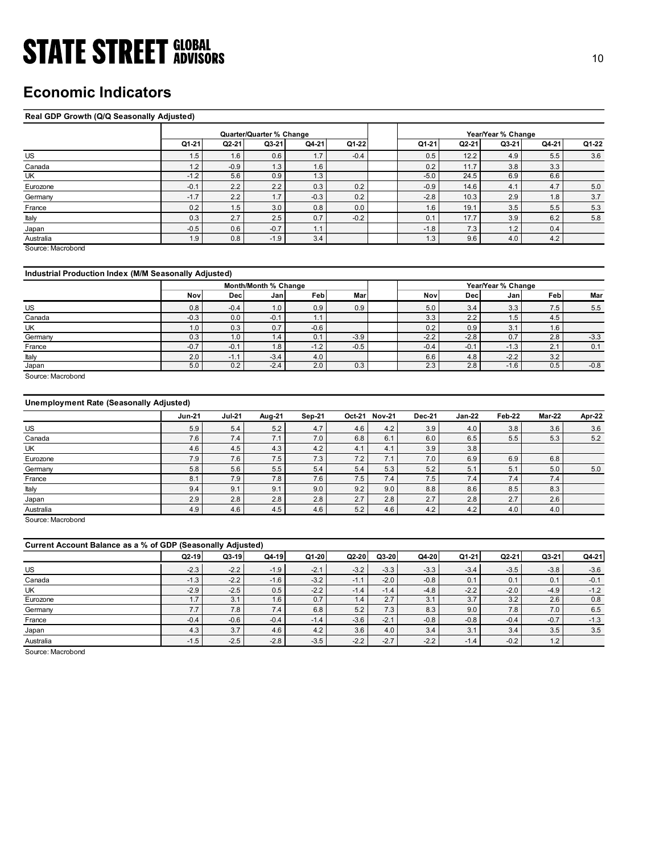## Economic Indicators

### Real GDP Growth (Q/Q Seasonally Adjusted)

| <b>STATE STREET GLOBAL</b>                            |               |               |                          |                |                    |                              |                |                    |                |               |
|-------------------------------------------------------|---------------|---------------|--------------------------|----------------|--------------------|------------------------------|----------------|--------------------|----------------|---------------|
|                                                       |               |               |                          |                |                    |                              |                |                    |                | 10            |
|                                                       |               |               |                          |                |                    |                              |                |                    |                |               |
|                                                       |               |               |                          |                |                    |                              |                |                    |                |               |
| <b>Economic Indicators</b>                            |               |               |                          |                |                    |                              |                |                    |                |               |
|                                                       |               |               |                          |                |                    |                              |                |                    |                |               |
| Real GDP Growth (Q/Q Seasonally Adjusted)             |               |               |                          |                |                    |                              |                |                    |                |               |
|                                                       |               |               |                          |                |                    |                              |                |                    |                |               |
|                                                       |               |               | Quarter/Quarter % Change |                |                    |                              |                | Year/Year % Change |                |               |
|                                                       | Q1-21         | $Q2-21$       | Q3-21                    | Q4-21          | Q1-22              | Q1-21                        | $Q2-21$        | Q3-21              | Q4-21          | Q1-22         |
| US                                                    | 1.5           | 1.6           | 0.6                      | 1.7            | $-0.4$             | 0.5                          | 12.2           | 4.9                | 5.5            | 3.6           |
| Canada                                                | 1.2           | $-0.9$        | 1.3                      | 1.6            |                    | 0.2                          | 11.7           | 3.8                | 3.3            |               |
| UK                                                    | $-1.2$        | 5.6           | 0.9                      | 1.3            |                    | $-5.0$                       | 24.5           | 6.9                | 6.6            |               |
| Eurozone                                              | $-0.1$        | 2.2           | 2.2                      | 0.3            | 0.2                | $-0.9$                       | 14.6           | 4.1                | 4.7            | 5.0           |
| Germany                                               | $-1.7$        | 2.2           | 1.7                      | $-0.3$         | 0.2                | $-2.8$                       | 10.3           | 2.9                | 1.8            | $3.7\,$       |
| France                                                | 0.2           | 1.5           | 3.0                      | 0.8            | 0.0                | 1.6                          | 19.1           | 3.5                | 5.5            | $5.3\,$       |
| Italy                                                 | 0.3           | 2.7           | 2.5                      | 0.7            | $-0.2$             | 0.1                          | 17.7           | 3.9                | 6.2            | 5.8           |
| Japan                                                 | $-0.5$        | 0.6           | $-0.7$                   | 1.1            |                    | $-1.8$                       | 7.3            | 1.2                | 0.4            |               |
| Australia                                             | 1.9           | 0.8           | $-1.9$                   | 3.4            |                    | 1.3                          | 9.6            | 4.0                | 4.2            |               |
| Source: Macrobond                                     |               |               |                          |                |                    |                              |                |                    |                |               |
|                                                       |               |               |                          |                |                    |                              |                |                    |                |               |
| Industrial Production Index (M/M Seasonally Adjusted) |               |               |                          |                |                    |                              |                |                    |                |               |
|                                                       |               |               | Month/Month % Change     |                |                    |                              |                | Year/Year % Change |                |               |
|                                                       | Nov           | <b>Dec</b>    | Jan                      | Feb            | Mar                | Nov                          | <b>Dec</b>     | Jan                | Feb            | Mar           |
| US                                                    | 0.8           | $-0.4$        | 1.0                      | 0.9            | 0.9                | 5.0                          | 3.4            | 3.3                | 7.5            | 5.5           |
| Canada                                                | $-0.3$        | 0.0           | $-0.1$                   | 1.1            |                    | 3.3                          | 2.2            | 1.5                | 4.5            |               |
| UK                                                    | 1.0           | 0.3           | 0.7                      | $-0.6$         |                    | 0.2                          | 0.9            | 3.1                | 1.6            |               |
| Germany                                               | 0.3           | 1.0           | 1.4                      | 0.1            | $-3.9$             | $-2.2$                       | $-2.8$         | 0.7                | 2.8            | $-3.3$        |
| France                                                | $-0.7$        | $-0.1$        | 1.8                      | $-1.2$         | $-0.5$             | $-0.4$                       | $-0.1$         | $-1.3$             | $2.1$          | 0.1           |
| Italy                                                 | $2.0\,$       | $-1.1$        | $-3.4$                   | $4.0\,$        |                    | $6.6\,$                      | 4.8            | $-2.2$             | 3.2            |               |
| Japan                                                 | 5.0           | 0.2           | $-2.4$                   | 2.0            | 0.3                | 2.3                          | 2.8            | $-1.6$             | 0.5            | $-0.8$        |
| Source: Macrobond                                     |               |               |                          |                |                    |                              |                |                    |                |               |
|                                                       |               |               |                          |                |                    |                              |                |                    |                |               |
|                                                       |               |               |                          |                |                    |                              |                |                    |                |               |
|                                                       |               | <b>Jul-21</b> | <b>Aug-21</b>            | <b>Sep-21</b>  | Oct-21 Nov-21      | <b>Dec-21</b>                | <b>Jan-22</b>  | Feb-22             | <b>Mar-22</b>  | <b>Apr-22</b> |
| Unemployment Rate (Seasonally Adjusted)               |               |               | $5.2\,$                  | 4.7            |                    | $3.9\,$<br>4.2               |                |                    |                |               |
|                                                       | <b>Jun-21</b> |               |                          |                | 4.6                |                              | 4.0            | 3.8                | 3.6            | $3.6\,$       |
| US                                                    | 5.9           | $5.4\,$       |                          |                |                    |                              |                |                    |                |               |
| Canada                                                | 7.6           | 7.4           | 7.1                      | 7.0            | $6.8\,$            | 6.1<br>6.0                   | 6.5            | 5.5                | 5.3            | $5.2$         |
| <b>UK</b>                                             | 4.6           | 4.5           | 4.3                      | 4.2            | 4.1                | 3.9<br>4.1                   | 3.8            |                    |                |               |
| Eurozone                                              | 7.9           | 7.6           | 7.5                      | 7.3            | $7.2\,$            | 7.0<br>7.1                   | 6.9            | 6.9                | 6.8            |               |
| Germany                                               | $5.8\,$       | $5.6\,$       | 5.5                      | $5.4\,$        | $5.4\,$            | $5.2$<br>5.3                 | 5.1            | 5.1                | $5.0\,$        | $5.0$         |
| France<br>Italy                                       | 8.1<br>9.4    | 7.9<br>9.1    | 7.8<br>9.1               | 7.6<br>$9.0\,$ | $7.5\,$<br>$9.2\,$ | 7.5<br>7.4<br>$8.8\,$<br>9.0 | 7.4<br>$8.6\,$ | 7.4<br>8.5         | 7.4<br>$8.3\,$ |               |

### Industrial Production Index (M/M Seasonally Adjusted)

|         |                  |            | Month/Month % Change |        |        |        | Year/Year % Change |                 |      |        |  |
|---------|------------------|------------|----------------------|--------|--------|--------|--------------------|-----------------|------|--------|--|
|         | Nov              | <b>Dec</b> | Janl                 | Feb    | Mar    | Nov    | Decl               | Jan             | Febl | Mar    |  |
| US      | 0.8              | $-0.4$     | 1.0                  | 0.9    | 0.9    | 5.0    | 3.4                | 3.3             | 7.5  | 5.5    |  |
| Canada  | $-0.3$           | 0.0        | $-0.1$               | . .    |        | 3.3    | 2.2                | 1.5'            | 4.5  |        |  |
| UK      | 0.1              | 0.3        | 0.7                  | $-0.6$ |        | 0.2    | 0.9                | $\Omega$<br>. ت | 1.6  |        |  |
| Germany | 0.3              | 1.0        | $\overline{1.4}$     | 0.1    | $-3.9$ | $-2.2$ | $-2.8$             | 0.7             | 2.8  | $-3.3$ |  |
| France  | $-0.7$           | $-0.1$     | 1.8                  | $-1.2$ | $-0.5$ | $-0.4$ | $-0.1$             | $-1.3$          | 2.1  | 0.1    |  |
| Italy   | 2.0 <sub>1</sub> | - 1.       | $-3.4$               | 4.0    |        | 6.6    | 4.8                | $-2.2$          | 3.2  |        |  |
| Japan   | 5.0              | 0.2        | $-2.4$               | 2.0    | 0.3    | 2.3    | 2.8                | $-1.6$          | 0.5  | $-0.8$ |  |

### Unemployment Rate (Seasonally Adjusted)

| 1.2<br>$-0.9$<br>1.3<br>1.6<br>0.2<br>11.7<br>3.8<br>3.3<br>$-1.2$<br>0.9<br>$-5.0$<br>24.5<br>6.9<br>5.6<br>1.3<br>6.6<br>$-0.1$<br>2.2<br>2.2<br>0.3<br>0.2<br>$-0.9$<br>14.6<br>4.1<br>4.7<br>5.0<br>$-0.3$<br>$-2.8$<br>2.9<br>3.7<br>$-1.7$<br>2.2<br>1.7<br>0.2<br>1.8<br>10.3<br>5.3<br>0.2<br>3.5<br>1.5<br>3.0<br>0.8<br>0.0<br>1.6<br>19.1<br>5.5<br>0.7<br>0.3<br>2.7<br>2.5<br>$-0.2$<br>3.9<br>6.2<br>5.8<br>0.1<br>17.7<br>1.2<br>$-0.5$<br>$-0.7$<br>1.1<br>$-1.8$<br>7.3<br>0.6<br>0.4<br>Japan<br>3.4<br>1.3<br>4.0<br>4.2<br>1.9<br>0.8<br>$-1.9$<br>9.6<br>Australia<br>Source: Macrobond<br>Industrial Production Index (M/M Seasonally Adjusted)<br>Month/Month % Change<br>Year/Year % Change<br>Feb<br>Feb<br>Nov<br>Mar<br>Nov<br>Dec<br>Jan<br>Mar<br>Dec<br>Jan<br>0.9<br>0.9<br>5.0<br>3.3<br>7.5<br>0.8<br>$-0.4$<br>1.0<br>3.4<br>5.5<br>Canada<br>3.3<br>2.2<br>1.5<br>4.5<br>$-0.3$<br>0.0<br>$-0.1$<br>1.1<br>$-0.6$<br>3.1<br>1.0<br>0.7<br>0.2<br>0.9<br>1.6<br>0.3<br>0.7<br>$-3.3$<br>Germany<br>0.3<br>0.1<br>$-2.2$<br>$-2.8$<br>1.0<br>1.4<br>$-3.9$<br>2.8<br>$-0.7$<br>$-0.1$<br>1.8<br>$-1.2$<br>$-0.5$<br>$-0.4$<br>$-0.1$<br>$-1.3$<br>2.1<br>0.1<br>$-2.2$<br>2.0<br>4.0<br>6.6<br>3.2<br>$-1.1$<br>$-3.4$<br>4.8<br>$-0.8$<br>5.0<br>0.2<br>$-2.4$<br>2.0<br>0.3<br>2.3<br>2.8<br>$-1.6$<br>0.5<br>Source: Macrobond<br><b>Unemployment Rate (Seasonally Adjusted)</b><br><b>Jul-21</b><br>Aug-21<br>Oct-21 Nov-21<br><b>Jan-22</b><br>Feb-22<br><b>Mar-22</b><br>Apr-22<br><b>Jun-21</b><br>Sep-21<br><b>Dec-21</b><br>5.4<br>5.2<br>4.7<br>4.6<br>4.2<br>3.9<br>3.8<br>3.6<br>5.9<br>4.0<br>3.6<br>5.5<br>$5.2\,$<br>7.6<br>7.4<br>7.1<br>7.0<br>6.8<br>6.1<br>6.0<br>6.5<br>5.3<br>Canada<br>4.5<br>4.2<br>4.6<br>4.3<br>3.9<br>3.8<br>4.1<br>4.1<br>7.9<br>7.6<br>7.5<br>7.3<br>7.0<br>7.2<br>7.1<br>6.9<br>6.9<br>6.8<br>5.8<br>5.6<br>5.5<br>$5.4$<br>5.3<br>5.2<br>5.1<br>5.4<br>5.1<br>5.0<br>5.0<br>8.1<br>7.9<br>7.8<br>7.6<br>7.5<br>7.4<br>7.5<br>7.4<br>7.4<br>7.4<br>9.0<br>8.5<br>9.1<br>9.1<br>9.0<br>8.8<br>8.6<br>8.3<br>9.4<br>9.2<br>2.8<br>2.7<br>2.9<br>2.8<br>2.8<br>2.7<br>2.8<br>2.7<br>2.8<br>2.6<br>4.9<br>4.6<br>4.5<br>4.6<br>5.2<br>4.6<br>4.2<br>4.2<br>4.0<br>4.0<br>Current Account Balance as a % of GDP (Seasonally Adjusted)<br>Q3-19<br>Q4-19<br>$Q3-20$<br>Q1-20<br>$Q2-20$<br>Q4-20<br>$Q1-21$<br>$Q2-21$<br>Q3-21<br>Q4-21<br>Q2-19<br>$-3.5$<br>$-2.3$<br>$-2.2$<br>$-1.9$<br>$-2.1$<br>$-3.3$<br>$-3.3$<br>$-3.4$<br>$-3.8$<br>$-3.6$<br>$-3.2$<br>$-3.2$<br>$-2.0$<br>$-1.3$<br>$-2.2$<br>$-1.6$<br>$-0.8$<br>0.1<br>0.1<br>0.1<br>$-0.1$<br>$-1.1$<br>$-2.2$<br>$-1.2$<br>$-2.9$<br>$-2.5$<br>0.5<br>$-4.8$<br>$-2.2$<br>$-2.0$<br>$-4.9$<br>$-1.4$<br>$-1.4$<br>1.7<br>3.1<br>1.6<br>0.7<br>1.4<br>2.7<br>3.1<br>3.7<br>3.2<br>2.6<br>0.8<br>7.7<br>6.8<br>7.8<br>7.8<br>7.4<br>5.2<br>7.3<br>8.3<br>6.5<br>9.0<br>7.0<br>Germany<br>$-2.1$<br>$-0.7$<br>$-1.3$<br>$-0.4$<br>$-0.6$<br>$-0.4$<br>$-1.4$<br>$-3.6$<br>$-0.8$<br>$-0.8$<br>$-0.4$<br>France<br>$3.5\,$<br>4.3<br>3.7<br>4.2<br>4.0<br>3.4<br>3.4<br>3.5<br>4.6<br>3.6<br>3.1<br>Japan | US                | 1.5 | 1.6 | 0.6 | 1.7 | -0.4 | 0.5 | 12.2 | 4.9 | 5.5 | 3.6 |
|------------------------------------------------------------------------------------------------------------------------------------------------------------------------------------------------------------------------------------------------------------------------------------------------------------------------------------------------------------------------------------------------------------------------------------------------------------------------------------------------------------------------------------------------------------------------------------------------------------------------------------------------------------------------------------------------------------------------------------------------------------------------------------------------------------------------------------------------------------------------------------------------------------------------------------------------------------------------------------------------------------------------------------------------------------------------------------------------------------------------------------------------------------------------------------------------------------------------------------------------------------------------------------------------------------------------------------------------------------------------------------------------------------------------------------------------------------------------------------------------------------------------------------------------------------------------------------------------------------------------------------------------------------------------------------------------------------------------------------------------------------------------------------------------------------------------------------------------------------------------------------------------------------------------------------------------------------------------------------------------------------------------------------------------------------------------------------------------------------------------------------------------------------------------------------------------------------------------------------------------------------------------------------------------------------------------------------------------------------------------------------------------------------------------------------------------------------------------------------------------------------------------------------------------------------------------------------------------------------------------------------------------------------------------------------------------------------------------------------------------------------------------------------------------------------------------------------------------------------------------------------------------------------------------------------------------------------------------------------------------------------------------------------------------------------------------------------------------------------------------------------------------|-------------------|-----|-----|-----|-----|------|-----|------|-----|-----|-----|
|                                                                                                                                                                                                                                                                                                                                                                                                                                                                                                                                                                                                                                                                                                                                                                                                                                                                                                                                                                                                                                                                                                                                                                                                                                                                                                                                                                                                                                                                                                                                                                                                                                                                                                                                                                                                                                                                                                                                                                                                                                                                                                                                                                                                                                                                                                                                                                                                                                                                                                                                                                                                                                                                                                                                                                                                                                                                                                                                                                                                                                                                                                                                                | Canada            |     |     |     |     |      |     |      |     |     |     |
|                                                                                                                                                                                                                                                                                                                                                                                                                                                                                                                                                                                                                                                                                                                                                                                                                                                                                                                                                                                                                                                                                                                                                                                                                                                                                                                                                                                                                                                                                                                                                                                                                                                                                                                                                                                                                                                                                                                                                                                                                                                                                                                                                                                                                                                                                                                                                                                                                                                                                                                                                                                                                                                                                                                                                                                                                                                                                                                                                                                                                                                                                                                                                | UK                |     |     |     |     |      |     |      |     |     |     |
|                                                                                                                                                                                                                                                                                                                                                                                                                                                                                                                                                                                                                                                                                                                                                                                                                                                                                                                                                                                                                                                                                                                                                                                                                                                                                                                                                                                                                                                                                                                                                                                                                                                                                                                                                                                                                                                                                                                                                                                                                                                                                                                                                                                                                                                                                                                                                                                                                                                                                                                                                                                                                                                                                                                                                                                                                                                                                                                                                                                                                                                                                                                                                | Eurozone          |     |     |     |     |      |     |      |     |     |     |
|                                                                                                                                                                                                                                                                                                                                                                                                                                                                                                                                                                                                                                                                                                                                                                                                                                                                                                                                                                                                                                                                                                                                                                                                                                                                                                                                                                                                                                                                                                                                                                                                                                                                                                                                                                                                                                                                                                                                                                                                                                                                                                                                                                                                                                                                                                                                                                                                                                                                                                                                                                                                                                                                                                                                                                                                                                                                                                                                                                                                                                                                                                                                                | Germany           |     |     |     |     |      |     |      |     |     |     |
|                                                                                                                                                                                                                                                                                                                                                                                                                                                                                                                                                                                                                                                                                                                                                                                                                                                                                                                                                                                                                                                                                                                                                                                                                                                                                                                                                                                                                                                                                                                                                                                                                                                                                                                                                                                                                                                                                                                                                                                                                                                                                                                                                                                                                                                                                                                                                                                                                                                                                                                                                                                                                                                                                                                                                                                                                                                                                                                                                                                                                                                                                                                                                | France            |     |     |     |     |      |     |      |     |     |     |
|                                                                                                                                                                                                                                                                                                                                                                                                                                                                                                                                                                                                                                                                                                                                                                                                                                                                                                                                                                                                                                                                                                                                                                                                                                                                                                                                                                                                                                                                                                                                                                                                                                                                                                                                                                                                                                                                                                                                                                                                                                                                                                                                                                                                                                                                                                                                                                                                                                                                                                                                                                                                                                                                                                                                                                                                                                                                                                                                                                                                                                                                                                                                                | Italy             |     |     |     |     |      |     |      |     |     |     |
|                                                                                                                                                                                                                                                                                                                                                                                                                                                                                                                                                                                                                                                                                                                                                                                                                                                                                                                                                                                                                                                                                                                                                                                                                                                                                                                                                                                                                                                                                                                                                                                                                                                                                                                                                                                                                                                                                                                                                                                                                                                                                                                                                                                                                                                                                                                                                                                                                                                                                                                                                                                                                                                                                                                                                                                                                                                                                                                                                                                                                                                                                                                                                |                   |     |     |     |     |      |     |      |     |     |     |
|                                                                                                                                                                                                                                                                                                                                                                                                                                                                                                                                                                                                                                                                                                                                                                                                                                                                                                                                                                                                                                                                                                                                                                                                                                                                                                                                                                                                                                                                                                                                                                                                                                                                                                                                                                                                                                                                                                                                                                                                                                                                                                                                                                                                                                                                                                                                                                                                                                                                                                                                                                                                                                                                                                                                                                                                                                                                                                                                                                                                                                                                                                                                                |                   |     |     |     |     |      |     |      |     |     |     |
|                                                                                                                                                                                                                                                                                                                                                                                                                                                                                                                                                                                                                                                                                                                                                                                                                                                                                                                                                                                                                                                                                                                                                                                                                                                                                                                                                                                                                                                                                                                                                                                                                                                                                                                                                                                                                                                                                                                                                                                                                                                                                                                                                                                                                                                                                                                                                                                                                                                                                                                                                                                                                                                                                                                                                                                                                                                                                                                                                                                                                                                                                                                                                |                   |     |     |     |     |      |     |      |     |     |     |
|                                                                                                                                                                                                                                                                                                                                                                                                                                                                                                                                                                                                                                                                                                                                                                                                                                                                                                                                                                                                                                                                                                                                                                                                                                                                                                                                                                                                                                                                                                                                                                                                                                                                                                                                                                                                                                                                                                                                                                                                                                                                                                                                                                                                                                                                                                                                                                                                                                                                                                                                                                                                                                                                                                                                                                                                                                                                                                                                                                                                                                                                                                                                                |                   |     |     |     |     |      |     |      |     |     |     |
|                                                                                                                                                                                                                                                                                                                                                                                                                                                                                                                                                                                                                                                                                                                                                                                                                                                                                                                                                                                                                                                                                                                                                                                                                                                                                                                                                                                                                                                                                                                                                                                                                                                                                                                                                                                                                                                                                                                                                                                                                                                                                                                                                                                                                                                                                                                                                                                                                                                                                                                                                                                                                                                                                                                                                                                                                                                                                                                                                                                                                                                                                                                                                |                   |     |     |     |     |      |     |      |     |     |     |
|                                                                                                                                                                                                                                                                                                                                                                                                                                                                                                                                                                                                                                                                                                                                                                                                                                                                                                                                                                                                                                                                                                                                                                                                                                                                                                                                                                                                                                                                                                                                                                                                                                                                                                                                                                                                                                                                                                                                                                                                                                                                                                                                                                                                                                                                                                                                                                                                                                                                                                                                                                                                                                                                                                                                                                                                                                                                                                                                                                                                                                                                                                                                                |                   |     |     |     |     |      |     |      |     |     |     |
|                                                                                                                                                                                                                                                                                                                                                                                                                                                                                                                                                                                                                                                                                                                                                                                                                                                                                                                                                                                                                                                                                                                                                                                                                                                                                                                                                                                                                                                                                                                                                                                                                                                                                                                                                                                                                                                                                                                                                                                                                                                                                                                                                                                                                                                                                                                                                                                                                                                                                                                                                                                                                                                                                                                                                                                                                                                                                                                                                                                                                                                                                                                                                |                   |     |     |     |     |      |     |      |     |     |     |
|                                                                                                                                                                                                                                                                                                                                                                                                                                                                                                                                                                                                                                                                                                                                                                                                                                                                                                                                                                                                                                                                                                                                                                                                                                                                                                                                                                                                                                                                                                                                                                                                                                                                                                                                                                                                                                                                                                                                                                                                                                                                                                                                                                                                                                                                                                                                                                                                                                                                                                                                                                                                                                                                                                                                                                                                                                                                                                                                                                                                                                                                                                                                                | US                |     |     |     |     |      |     |      |     |     |     |
|                                                                                                                                                                                                                                                                                                                                                                                                                                                                                                                                                                                                                                                                                                                                                                                                                                                                                                                                                                                                                                                                                                                                                                                                                                                                                                                                                                                                                                                                                                                                                                                                                                                                                                                                                                                                                                                                                                                                                                                                                                                                                                                                                                                                                                                                                                                                                                                                                                                                                                                                                                                                                                                                                                                                                                                                                                                                                                                                                                                                                                                                                                                                                |                   |     |     |     |     |      |     |      |     |     |     |
|                                                                                                                                                                                                                                                                                                                                                                                                                                                                                                                                                                                                                                                                                                                                                                                                                                                                                                                                                                                                                                                                                                                                                                                                                                                                                                                                                                                                                                                                                                                                                                                                                                                                                                                                                                                                                                                                                                                                                                                                                                                                                                                                                                                                                                                                                                                                                                                                                                                                                                                                                                                                                                                                                                                                                                                                                                                                                                                                                                                                                                                                                                                                                | UK                |     |     |     |     |      |     |      |     |     |     |
|                                                                                                                                                                                                                                                                                                                                                                                                                                                                                                                                                                                                                                                                                                                                                                                                                                                                                                                                                                                                                                                                                                                                                                                                                                                                                                                                                                                                                                                                                                                                                                                                                                                                                                                                                                                                                                                                                                                                                                                                                                                                                                                                                                                                                                                                                                                                                                                                                                                                                                                                                                                                                                                                                                                                                                                                                                                                                                                                                                                                                                                                                                                                                |                   |     |     |     |     |      |     |      |     |     |     |
|                                                                                                                                                                                                                                                                                                                                                                                                                                                                                                                                                                                                                                                                                                                                                                                                                                                                                                                                                                                                                                                                                                                                                                                                                                                                                                                                                                                                                                                                                                                                                                                                                                                                                                                                                                                                                                                                                                                                                                                                                                                                                                                                                                                                                                                                                                                                                                                                                                                                                                                                                                                                                                                                                                                                                                                                                                                                                                                                                                                                                                                                                                                                                | France            |     |     |     |     |      |     |      |     |     |     |
|                                                                                                                                                                                                                                                                                                                                                                                                                                                                                                                                                                                                                                                                                                                                                                                                                                                                                                                                                                                                                                                                                                                                                                                                                                                                                                                                                                                                                                                                                                                                                                                                                                                                                                                                                                                                                                                                                                                                                                                                                                                                                                                                                                                                                                                                                                                                                                                                                                                                                                                                                                                                                                                                                                                                                                                                                                                                                                                                                                                                                                                                                                                                                | Italy             |     |     |     |     |      |     |      |     |     |     |
|                                                                                                                                                                                                                                                                                                                                                                                                                                                                                                                                                                                                                                                                                                                                                                                                                                                                                                                                                                                                                                                                                                                                                                                                                                                                                                                                                                                                                                                                                                                                                                                                                                                                                                                                                                                                                                                                                                                                                                                                                                                                                                                                                                                                                                                                                                                                                                                                                                                                                                                                                                                                                                                                                                                                                                                                                                                                                                                                                                                                                                                                                                                                                | Japan             |     |     |     |     |      |     |      |     |     |     |
|                                                                                                                                                                                                                                                                                                                                                                                                                                                                                                                                                                                                                                                                                                                                                                                                                                                                                                                                                                                                                                                                                                                                                                                                                                                                                                                                                                                                                                                                                                                                                                                                                                                                                                                                                                                                                                                                                                                                                                                                                                                                                                                                                                                                                                                                                                                                                                                                                                                                                                                                                                                                                                                                                                                                                                                                                                                                                                                                                                                                                                                                                                                                                |                   |     |     |     |     |      |     |      |     |     |     |
|                                                                                                                                                                                                                                                                                                                                                                                                                                                                                                                                                                                                                                                                                                                                                                                                                                                                                                                                                                                                                                                                                                                                                                                                                                                                                                                                                                                                                                                                                                                                                                                                                                                                                                                                                                                                                                                                                                                                                                                                                                                                                                                                                                                                                                                                                                                                                                                                                                                                                                                                                                                                                                                                                                                                                                                                                                                                                                                                                                                                                                                                                                                                                |                   |     |     |     |     |      |     |      |     |     |     |
|                                                                                                                                                                                                                                                                                                                                                                                                                                                                                                                                                                                                                                                                                                                                                                                                                                                                                                                                                                                                                                                                                                                                                                                                                                                                                                                                                                                                                                                                                                                                                                                                                                                                                                                                                                                                                                                                                                                                                                                                                                                                                                                                                                                                                                                                                                                                                                                                                                                                                                                                                                                                                                                                                                                                                                                                                                                                                                                                                                                                                                                                                                                                                | <b>US</b>         |     |     |     |     |      |     |      |     |     |     |
|                                                                                                                                                                                                                                                                                                                                                                                                                                                                                                                                                                                                                                                                                                                                                                                                                                                                                                                                                                                                                                                                                                                                                                                                                                                                                                                                                                                                                                                                                                                                                                                                                                                                                                                                                                                                                                                                                                                                                                                                                                                                                                                                                                                                                                                                                                                                                                                                                                                                                                                                                                                                                                                                                                                                                                                                                                                                                                                                                                                                                                                                                                                                                |                   |     |     |     |     |      |     |      |     |     |     |
|                                                                                                                                                                                                                                                                                                                                                                                                                                                                                                                                                                                                                                                                                                                                                                                                                                                                                                                                                                                                                                                                                                                                                                                                                                                                                                                                                                                                                                                                                                                                                                                                                                                                                                                                                                                                                                                                                                                                                                                                                                                                                                                                                                                                                                                                                                                                                                                                                                                                                                                                                                                                                                                                                                                                                                                                                                                                                                                                                                                                                                                                                                                                                | UK                |     |     |     |     |      |     |      |     |     |     |
|                                                                                                                                                                                                                                                                                                                                                                                                                                                                                                                                                                                                                                                                                                                                                                                                                                                                                                                                                                                                                                                                                                                                                                                                                                                                                                                                                                                                                                                                                                                                                                                                                                                                                                                                                                                                                                                                                                                                                                                                                                                                                                                                                                                                                                                                                                                                                                                                                                                                                                                                                                                                                                                                                                                                                                                                                                                                                                                                                                                                                                                                                                                                                | Eurozone          |     |     |     |     |      |     |      |     |     |     |
|                                                                                                                                                                                                                                                                                                                                                                                                                                                                                                                                                                                                                                                                                                                                                                                                                                                                                                                                                                                                                                                                                                                                                                                                                                                                                                                                                                                                                                                                                                                                                                                                                                                                                                                                                                                                                                                                                                                                                                                                                                                                                                                                                                                                                                                                                                                                                                                                                                                                                                                                                                                                                                                                                                                                                                                                                                                                                                                                                                                                                                                                                                                                                | Germany           |     |     |     |     |      |     |      |     |     |     |
|                                                                                                                                                                                                                                                                                                                                                                                                                                                                                                                                                                                                                                                                                                                                                                                                                                                                                                                                                                                                                                                                                                                                                                                                                                                                                                                                                                                                                                                                                                                                                                                                                                                                                                                                                                                                                                                                                                                                                                                                                                                                                                                                                                                                                                                                                                                                                                                                                                                                                                                                                                                                                                                                                                                                                                                                                                                                                                                                                                                                                                                                                                                                                | France            |     |     |     |     |      |     |      |     |     |     |
|                                                                                                                                                                                                                                                                                                                                                                                                                                                                                                                                                                                                                                                                                                                                                                                                                                                                                                                                                                                                                                                                                                                                                                                                                                                                                                                                                                                                                                                                                                                                                                                                                                                                                                                                                                                                                                                                                                                                                                                                                                                                                                                                                                                                                                                                                                                                                                                                                                                                                                                                                                                                                                                                                                                                                                                                                                                                                                                                                                                                                                                                                                                                                | Italy             |     |     |     |     |      |     |      |     |     |     |
|                                                                                                                                                                                                                                                                                                                                                                                                                                                                                                                                                                                                                                                                                                                                                                                                                                                                                                                                                                                                                                                                                                                                                                                                                                                                                                                                                                                                                                                                                                                                                                                                                                                                                                                                                                                                                                                                                                                                                                                                                                                                                                                                                                                                                                                                                                                                                                                                                                                                                                                                                                                                                                                                                                                                                                                                                                                                                                                                                                                                                                                                                                                                                | Japan             |     |     |     |     |      |     |      |     |     |     |
|                                                                                                                                                                                                                                                                                                                                                                                                                                                                                                                                                                                                                                                                                                                                                                                                                                                                                                                                                                                                                                                                                                                                                                                                                                                                                                                                                                                                                                                                                                                                                                                                                                                                                                                                                                                                                                                                                                                                                                                                                                                                                                                                                                                                                                                                                                                                                                                                                                                                                                                                                                                                                                                                                                                                                                                                                                                                                                                                                                                                                                                                                                                                                | Australia         |     |     |     |     |      |     |      |     |     |     |
|                                                                                                                                                                                                                                                                                                                                                                                                                                                                                                                                                                                                                                                                                                                                                                                                                                                                                                                                                                                                                                                                                                                                                                                                                                                                                                                                                                                                                                                                                                                                                                                                                                                                                                                                                                                                                                                                                                                                                                                                                                                                                                                                                                                                                                                                                                                                                                                                                                                                                                                                                                                                                                                                                                                                                                                                                                                                                                                                                                                                                                                                                                                                                | Source: Macrobond |     |     |     |     |      |     |      |     |     |     |
|                                                                                                                                                                                                                                                                                                                                                                                                                                                                                                                                                                                                                                                                                                                                                                                                                                                                                                                                                                                                                                                                                                                                                                                                                                                                                                                                                                                                                                                                                                                                                                                                                                                                                                                                                                                                                                                                                                                                                                                                                                                                                                                                                                                                                                                                                                                                                                                                                                                                                                                                                                                                                                                                                                                                                                                                                                                                                                                                                                                                                                                                                                                                                |                   |     |     |     |     |      |     |      |     |     |     |
|                                                                                                                                                                                                                                                                                                                                                                                                                                                                                                                                                                                                                                                                                                                                                                                                                                                                                                                                                                                                                                                                                                                                                                                                                                                                                                                                                                                                                                                                                                                                                                                                                                                                                                                                                                                                                                                                                                                                                                                                                                                                                                                                                                                                                                                                                                                                                                                                                                                                                                                                                                                                                                                                                                                                                                                                                                                                                                                                                                                                                                                                                                                                                |                   |     |     |     |     |      |     |      |     |     |     |
|                                                                                                                                                                                                                                                                                                                                                                                                                                                                                                                                                                                                                                                                                                                                                                                                                                                                                                                                                                                                                                                                                                                                                                                                                                                                                                                                                                                                                                                                                                                                                                                                                                                                                                                                                                                                                                                                                                                                                                                                                                                                                                                                                                                                                                                                                                                                                                                                                                                                                                                                                                                                                                                                                                                                                                                                                                                                                                                                                                                                                                                                                                                                                | US                |     |     |     |     |      |     |      |     |     |     |
|                                                                                                                                                                                                                                                                                                                                                                                                                                                                                                                                                                                                                                                                                                                                                                                                                                                                                                                                                                                                                                                                                                                                                                                                                                                                                                                                                                                                                                                                                                                                                                                                                                                                                                                                                                                                                                                                                                                                                                                                                                                                                                                                                                                                                                                                                                                                                                                                                                                                                                                                                                                                                                                                                                                                                                                                                                                                                                                                                                                                                                                                                                                                                | Canada            |     |     |     |     |      |     |      |     |     |     |
|                                                                                                                                                                                                                                                                                                                                                                                                                                                                                                                                                                                                                                                                                                                                                                                                                                                                                                                                                                                                                                                                                                                                                                                                                                                                                                                                                                                                                                                                                                                                                                                                                                                                                                                                                                                                                                                                                                                                                                                                                                                                                                                                                                                                                                                                                                                                                                                                                                                                                                                                                                                                                                                                                                                                                                                                                                                                                                                                                                                                                                                                                                                                                | UK                |     |     |     |     |      |     |      |     |     |     |
|                                                                                                                                                                                                                                                                                                                                                                                                                                                                                                                                                                                                                                                                                                                                                                                                                                                                                                                                                                                                                                                                                                                                                                                                                                                                                                                                                                                                                                                                                                                                                                                                                                                                                                                                                                                                                                                                                                                                                                                                                                                                                                                                                                                                                                                                                                                                                                                                                                                                                                                                                                                                                                                                                                                                                                                                                                                                                                                                                                                                                                                                                                                                                | Eurozone          |     |     |     |     |      |     |      |     |     |     |
|                                                                                                                                                                                                                                                                                                                                                                                                                                                                                                                                                                                                                                                                                                                                                                                                                                                                                                                                                                                                                                                                                                                                                                                                                                                                                                                                                                                                                                                                                                                                                                                                                                                                                                                                                                                                                                                                                                                                                                                                                                                                                                                                                                                                                                                                                                                                                                                                                                                                                                                                                                                                                                                                                                                                                                                                                                                                                                                                                                                                                                                                                                                                                |                   |     |     |     |     |      |     |      |     |     |     |
|                                                                                                                                                                                                                                                                                                                                                                                                                                                                                                                                                                                                                                                                                                                                                                                                                                                                                                                                                                                                                                                                                                                                                                                                                                                                                                                                                                                                                                                                                                                                                                                                                                                                                                                                                                                                                                                                                                                                                                                                                                                                                                                                                                                                                                                                                                                                                                                                                                                                                                                                                                                                                                                                                                                                                                                                                                                                                                                                                                                                                                                                                                                                                |                   |     |     |     |     |      |     |      |     |     |     |
|                                                                                                                                                                                                                                                                                                                                                                                                                                                                                                                                                                                                                                                                                                                                                                                                                                                                                                                                                                                                                                                                                                                                                                                                                                                                                                                                                                                                                                                                                                                                                                                                                                                                                                                                                                                                                                                                                                                                                                                                                                                                                                                                                                                                                                                                                                                                                                                                                                                                                                                                                                                                                                                                                                                                                                                                                                                                                                                                                                                                                                                                                                                                                |                   |     |     |     |     |      |     |      |     |     |     |
|                                                                                                                                                                                                                                                                                                                                                                                                                                                                                                                                                                                                                                                                                                                                                                                                                                                                                                                                                                                                                                                                                                                                                                                                                                                                                                                                                                                                                                                                                                                                                                                                                                                                                                                                                                                                                                                                                                                                                                                                                                                                                                                                                                                                                                                                                                                                                                                                                                                                                                                                                                                                                                                                                                                                                                                                                                                                                                                                                                                                                                                                                                                                                |                   |     |     |     |     |      |     |      |     |     |     |

|                                                                                                                                                                                                          | 0.8           | $-0.4$        | 1.0     | 0.9     | 0.9           |         | 5.0           | 3.4           |               | $7.5\,$ | 5.5     |
|----------------------------------------------------------------------------------------------------------------------------------------------------------------------------------------------------------|---------------|---------------|---------|---------|---------------|---------|---------------|---------------|---------------|---------|---------|
| US                                                                                                                                                                                                       |               |               |         |         |               |         |               |               | 3.3           |         |         |
| Canada                                                                                                                                                                                                   | $-0.3$        | 0.0           | $-0.1$  | 1.1     |               |         | 3.3           | 2.2           | 1.5           | 4.5     |         |
| UK                                                                                                                                                                                                       | 1.0           | 0.3           | 0.7     | $-0.6$  |               |         | 0.2           | 0.9           | 3.1           | 1.6     |         |
| Germany                                                                                                                                                                                                  | 0.3           | 1.0           | 1.4     | 0.1     | $-3.9$        |         | $-2.2$        | $-2.8$        | 0.7           | 2.8     | $-3.3$  |
| France                                                                                                                                                                                                   | $-0.7$        | $-0.1$        | 1.8     | $-1.2$  | $-0.5$        |         | $-0.4$        | $-0.1$        | $-1.3$        | 2.1     | 0.1     |
| Italy                                                                                                                                                                                                    | 2.0           | $-1.1$        | $-3.4$  | 4.0     |               |         | 6.6           | 4.8           | $-2.2$        | 3.2     |         |
| Japan                                                                                                                                                                                                    | 5.0           | 0.2           | $-2.4$  | 2.0     | 0.3           |         | 2.3           | 2.8           | $-1.6$        | 0.5     | $-0.8$  |
| Source: Macrobond                                                                                                                                                                                        |               |               |         |         |               |         |               |               |               |         |         |
| <b>Unemployment Rate (Seasonally Adjusted)</b>                                                                                                                                                           |               |               |         |         |               |         |               |               |               |         |         |
|                                                                                                                                                                                                          | <b>Jun-21</b> | <b>Jul-21</b> | Aug-21  | Sep-21  | Oct-21 Nov-21 |         | <b>Dec-21</b> | <b>Jan-22</b> | <b>Feb-22</b> | Mar-22  | Apr-22  |
| US                                                                                                                                                                                                       | 5.9           | 5.4           | 5.2     | 4.7     | 4.6           | 4.2     | 3.9           | 4.0           | 3.8           | 3.6     | 3.6     |
| Canada                                                                                                                                                                                                   | 7.6           | 7.4           | 7.1     | 7.0     | 6.8           | 6.1     | $6.0\,$       | 6.5           | 5.5           | 5.3     | 5.2     |
| UK                                                                                                                                                                                                       | 4.6           | 4.5           | 4.3     | 4.2     | 4.1           | 4.1     | 3.9           | 3.8           |               |         |         |
| Eurozone                                                                                                                                                                                                 | 7.9           | 7.6           | 7.5     | 7.3     | 7.2           | 7.1     | 7.0           | 6.9           | 6.9           | 6.8     |         |
| Germany                                                                                                                                                                                                  | 5.8           | 5.6           | 5.5     | $5.4\,$ | 5.4           | 5.3     | $5.2\,$       | 5.1           | 5.1           | $5.0\,$ | $5.0\,$ |
|                                                                                                                                                                                                          | 8.1           | 7.9           | 7.8     | 7.6     | 7.5           | 7.4     | 7.5           | 7.4           | 7.4           | 7.4     |         |
|                                                                                                                                                                                                          |               |               |         |         |               |         |               |               |               |         |         |
|                                                                                                                                                                                                          | 9.4           | 9.1           | 9.1     | 9.0     | 9.2           | 9.0     | 8.8           | 8.6           | 8.5           | 8.3     |         |
|                                                                                                                                                                                                          | 2.9           | 2.8           | 2.8     | 2.8     | 2.7           | 2.8     | 2.7           | 2.8           | 2.7           | 2.6     |         |
|                                                                                                                                                                                                          | 4.9           | 4.6           | 4.5     | 4.6     | 5.2           | 4.6     | 4.2           | 4.2           | 4.0           | 4.0     |         |
|                                                                                                                                                                                                          |               |               |         |         |               |         |               |               |               |         |         |
|                                                                                                                                                                                                          | $Q2-19$       | $Q3-19$       | $Q4-19$ | $Q1-20$ | Q2-20         | $Q3-20$ | Q4-20         | Q1-21         | $Q2-21$       | Q3-21   | Q4-21   |
|                                                                                                                                                                                                          | $-2.3$        | $-2.2$        | $-1.9$  | $-2.1$  | $-3.2$        | $-3.3$  | $-3.3$        | $-3.4$        | $-3.5$        | $-3.8$  | $-3.6$  |
|                                                                                                                                                                                                          | $-1.3$        | $-2.2$        | $-1.6$  | $-3.2$  | $-1.1$        | $-2.0$  | $-0.8$        | 0.1           | 0.1           | 0.1     | $-0.1$  |
|                                                                                                                                                                                                          | $-2.9$        | $-2.5$        | 0.5     | $-2.2$  | $-1.4$        | $-1.4$  | $-4.8$        | $-2.2$        | $-2.0$        | $-4.9$  | $-1.2$  |
|                                                                                                                                                                                                          | 1.7           | 3.1           | 1.6     | 0.7     | 1.4           | 2.7     | 3.1           | 3.7           | 3.2           | 2.6     | 0.8     |
|                                                                                                                                                                                                          | 7.7           | 7.8           | 7.4     | 6.8     | 5.2           | 7.3     | 8.3           | 9.0           | 7.8           | $7.0$   | 6.5     |
|                                                                                                                                                                                                          | $-0.4$        | $-0.6$        | $-0.4$  | $-1.4$  | $-3.6$        | $-2.1$  | $-0.8$        | $-0.8$        | $-0.4$        | $-0.7$  | $-1.3$  |
|                                                                                                                                                                                                          | 4.3           | 3.7           | 4.6     | 4.2     | 3.6           | 4.0     | 3.4           | 3.1           | 3.4           | 3.5     | 3.5     |
| France<br>Italy<br>Japan<br>Australia<br>Source: Macrobond<br>Current Account Balance as a % of GDP (Seasonally Adjusted)<br>$US$<br>Canada<br>UK<br>Eurozone<br>Germany<br>France<br>Japan<br>Australia | $-1.5$        | $-2.5$        | $-2.8$  | $-3.5$  | $-2.2$        | $-2.7$  | $-2.2$        | $-1.4$        | $-0.2$        | 1.2     |         |